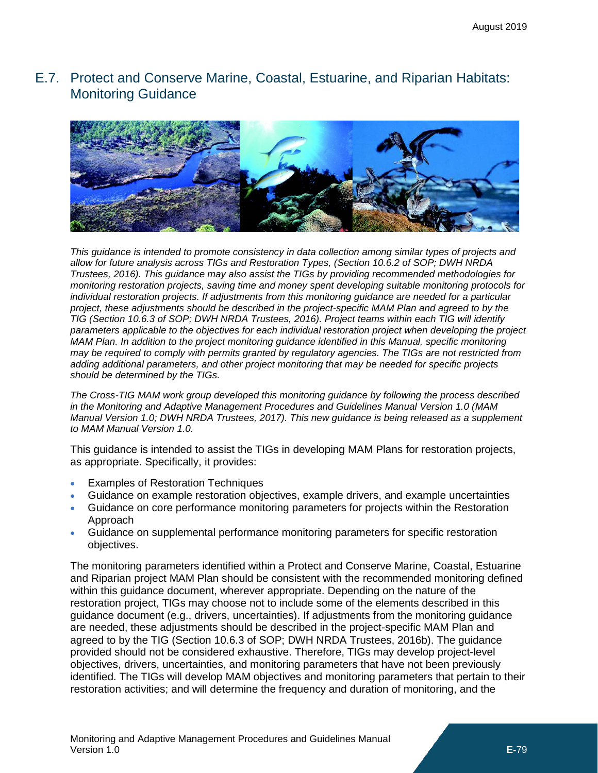# <span id="page-0-0"></span>E.7. Protect and Conserve Marine, Coastal, Estuarine, and Riparian Habitats: Monitoring Guidance



*This guidance is intended to promote consistency in data collection among similar types of projects and allow for future analysis across TIGs and Restoration Types, (Section 10.6.2 of SOP; DWH NRDA Trustees, 2016). This guidance may also assist the TIGs by providing recommended methodologies for monitoring restoration projects, saving time and money spent developing suitable monitoring protocols for individual restoration projects. If adjustments from this monitoring guidance are needed for a particular project, these adjustments should be described in the project-specific MAM Plan and agreed to by the TIG (Section 10.6.3 of SOP; DWH NRDA Trustees, 2016). Project teams within each TIG will identify parameters applicable to the objectives for each individual restoration project when developing the project MAM Plan. In addition to the project monitoring guidance identified in this Manual, specific monitoring may be required to comply with permits granted by regulatory agencies. The TIGs are not restricted from adding additional parameters, and other project monitoring that may be needed for specific projects should be determined by the TIGs.*

*The Cross-TIG MAM work group developed this monitoring guidance by following the process described in the Monitoring and Adaptive Management Procedures and Guidelines Manual Version 1.0 (MAM Manual Version 1.0; DWH NRDA Trustees, 2017). This new guidance is being released as a supplement to MAM Manual Version 1.0.*

This guidance is intended to assist the TIGs in developing MAM Plans for restoration projects, as appropriate. Specifically, it provides:

- Examples of Restoration Techniques
- Guidance on example restoration objectives, example drivers, and example uncertainties
- Guidance on core performance monitoring parameters for projects within the Restoration Approach
- Guidance on supplemental performance monitoring parameters for specific restoration objectives.

The monitoring parameters identified within a Protect and Conserve Marine, Coastal, Estuarine and Riparian project MAM Plan should be consistent with the recommended monitoring defined within this guidance document, wherever appropriate. Depending on the nature of the restoration project, TIGs may choose not to include some of the elements described in this guidance document (e.g., drivers, uncertainties). If adjustments from the monitoring guidance are needed, these adjustments should be described in the project-specific MAM Plan and agreed to by the TIG (Section 10.6.3 of SOP; DWH NRDA Trustees, 2016b). The guidance provided should not be considered exhaustive. Therefore, TIGs may develop project-level objectives, drivers, uncertainties, and monitoring parameters that have not been previously identified. The TIGs will develop MAM objectives and monitoring parameters that pertain to their restoration activities; and will determine the frequency and duration of monitoring, and the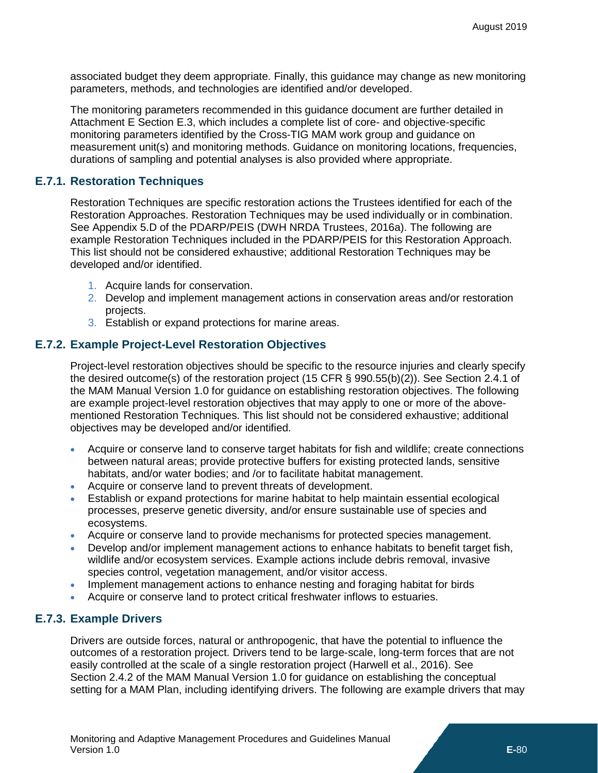associated budget they deem appropriate. Finally, this guidance may change as new monitoring parameters, methods, and technologies are identified and/or developed.

The monitoring parameters recommended in this guidance document are further detailed in Attachment E Section [E.3,](#page--1-0) which includes a complete list of core- and objective-specific monitoring parameters identified by the Cross-TIG MAM work group and guidance on measurement unit(s) and monitoring methods. Guidance on monitoring locations, frequencies, durations of sampling and potential analyses is also provided where appropriate.

### **E.7.1. Restoration Techniques**

Restoration Techniques are specific restoration actions the Trustees identified for each of the Restoration Approaches. Restoration Techniques may be used individually or in combination. See Appendix 5.D of the PDARP/PEIS (DWH NRDA Trustees, 2016a). The following are example Restoration Techniques included in the PDARP/PEIS for this Restoration Approach. This list should not be considered exhaustive; additional Restoration Techniques may be developed and/or identified.

- 1. Acquire lands for conservation.
- 2. Develop and implement management actions in conservation areas and/or restoration projects.
- 3. Establish or expand protections for marine areas.

#### **E.7.2. Example Project-Level Restoration Objectives**

Project-level restoration objectives should be specific to the resource injuries and clearly specify the desired outcome(s) of the restoration project (15 CFR § 990.55(b)(2)). See Section 2.4.1 of the MAM Manual Version 1.0 for guidance on establishing restoration objectives. The following are example project-level restoration objectives that may apply to one or more of the abovementioned Restoration Techniques. This list should not be considered exhaustive; additional objectives may be developed and/or identified.

- Acquire or conserve land to conserve target habitats for fish and wildlife; create connections between natural areas; provide protective buffers for existing protected lands, sensitive habitats, and/or water bodies; and /or to facilitate habitat management.
- Acquire or conserve land to prevent threats of development.
- Establish or expand protections for marine habitat to help maintain essential ecological processes, preserve genetic diversity, and/or ensure sustainable use of species and ecosystems.
- Acquire or conserve land to provide mechanisms for protected species management.
- Develop and/or implement management actions to enhance habitats to benefit target fish, wildlife and/or ecosystem services. Example actions include debris removal, invasive species control, vegetation management, and/or visitor access.
- Implement management actions to enhance nesting and foraging habitat for birds
- Acquire or conserve land to protect critical freshwater inflows to estuaries.

### **E.7.3. Example Drivers**

Drivers are outside forces, natural or anthropogenic, that have the potential to influence the outcomes of a restoration project. Drivers tend to be large-scale, long-term forces that are not easily controlled at the scale of a single restoration project (Harwell et al., 2016). See Section 2.4.2 of the MAM Manual Version 1.0 for guidance on establishing the conceptual setting for a MAM Plan, including identifying drivers. The following are example drivers that may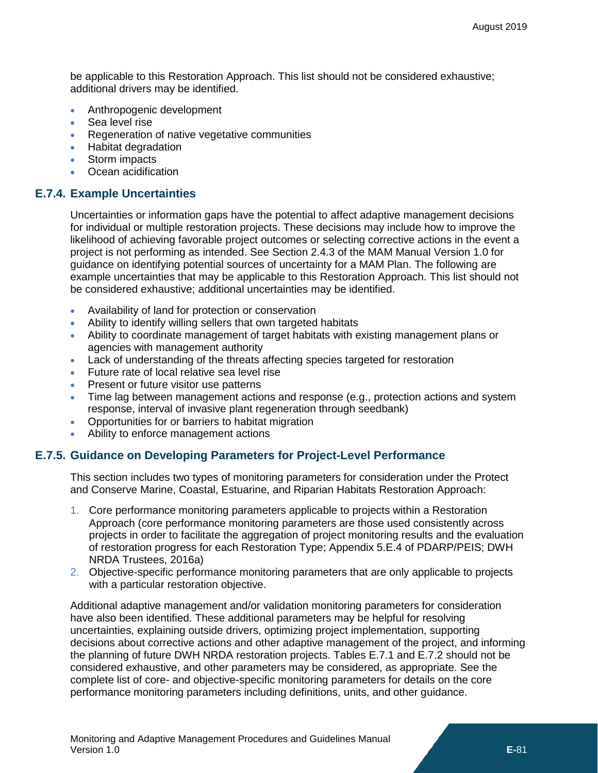be applicable to this Restoration Approach. This list should not be considered exhaustive; additional drivers may be identified.

- Anthropogenic development
- Sea level rise
- Regeneration of native vegetative communities
- Habitat degradation
- Storm impacts
- Ocean acidification

### **E.7.4. Example Uncertainties**

Uncertainties or information gaps have the potential to affect adaptive management decisions for individual or multiple restoration projects. These decisions may include how to improve the likelihood of achieving favorable project outcomes or selecting corrective actions in the event a project is not performing as intended. See Section 2.4.3 of the MAM Manual Version 1.0 for guidance on identifying potential sources of uncertainty for a MAM Plan. The following are example uncertainties that may be applicable to this Restoration Approach. This list should not be considered exhaustive; additional uncertainties may be identified.

- Availability of land for protection or conservation
- Ability to identify willing sellers that own targeted habitats
- Ability to coordinate management of target habitats with existing management plans or agencies with management authority
- Lack of understanding of the threats affecting species targeted for restoration
- Future rate of local relative sea level rise
- Present or future visitor use patterns
- Time lag between management actions and response (e.g., protection actions and system response, interval of invasive plant regeneration through seedbank)
- Opportunities for or barriers to habitat migration
- Ability to enforce management actions

## **E.7.5. Guidance on Developing Parameters for Project-Level Performance**

This section includes two types of monitoring parameters for consideration under the Protect and Conserve Marine, Coastal, Estuarine, and Riparian Habitats Restoration Approach:

- 1. Core performance monitoring parameters applicable to projects within a Restoration Approach (core performance monitoring parameters are those used consistently across projects in order to facilitate the aggregation of project monitoring results and the evaluation of restoration progress for each Restoration Type; Appendix 5.E.4 of PDARP/PEIS; DWH NRDA Trustees, 2016a)
- 2. Objective-specific performance monitoring parameters that are only applicable to projects with a particular restoration objective.

Additional adaptive management and/or validation monitoring parameters for consideration have also been identified. These additional parameters may be helpful for resolving uncertainties, explaining outside drivers, optimizing project implementation, supporting decisions about corrective actions and other adaptive management of the project, and informing the planning of future DWH NRDA restoration projects. Tables [E.7.](#page-0-0)1 and [E.7.](#page-0-0)2 should not be considered exhaustive, and other parameters may be considered, as appropriate. See the complete list of core- and objective-specific monitoring parameters for details on the core performance monitoring parameters including definitions, units, and other guidance.